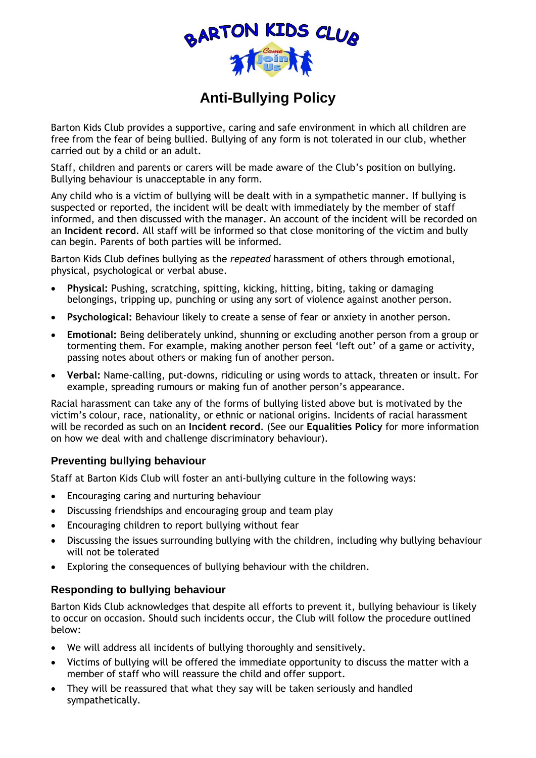

## **Anti-Bullying Policy**

Barton Kids Club provides a supportive, caring and safe environment in which all children are free from the fear of being bullied. Bullying of any form is not tolerated in our club, whether carried out by a child or an adult.

Staff, children and parents or carers will be made aware of the Club's position on bullying. Bullying behaviour is unacceptable in any form.

Any child who is a victim of bullying will be dealt with in a sympathetic manner. If bullying is suspected or reported, the incident will be dealt with immediately by the member of staff informed, and then discussed with the manager. An account of the incident will be recorded on an **Incident record**. All staff will be informed so that close monitoring of the victim and bully can begin. Parents of both parties will be informed.

Barton Kids Club defines bullying as the *repeated* harassment of others through emotional, physical, psychological or verbal abuse.

- **Physical:** Pushing, scratching, spitting, kicking, hitting, biting, taking or damaging belongings, tripping up, punching or using any sort of violence against another person.
- **Psychological:** Behaviour likely to create a sense of fear or anxiety in another person.
- **Emotional:** Being deliberately unkind, shunning or excluding another person from a group or tormenting them. For example, making another person feel 'left out' of a game or activity, passing notes about others or making fun of another person.
- **Verbal:** Name-calling, put-downs, ridiculing or using words to attack, threaten or insult. For example, spreading rumours or making fun of another person's appearance.

Racial harassment can take any of the forms of bullying listed above but is motivated by the victim's colour, race, nationality, or ethnic or national origins. Incidents of racial harassment will be recorded as such on an **Incident record**. (See our **Equalities Policy** for more information on how we deal with and challenge discriminatory behaviour).

## **Preventing bullying behaviour**

Staff at Barton Kids Club will foster an anti-bullying culture in the following ways:

- Encouraging caring and nurturing behaviour
- Discussing friendships and encouraging group and team play
- Encouraging children to report bullying without fear
- Discussing the issues surrounding bullying with the children, including why bullying behaviour will not be tolerated
- Exploring the consequences of bullying behaviour with the children.

## **Responding to bullying behaviour**

Barton Kids Club acknowledges that despite all efforts to prevent it, bullying behaviour is likely to occur on occasion. Should such incidents occur, the Club will follow the procedure outlined below:

- We will address all incidents of bullying thoroughly and sensitively.
- Victims of bullying will be offered the immediate opportunity to discuss the matter with a member of staff who will reassure the child and offer support.
- They will be reassured that what they say will be taken seriously and handled sympathetically.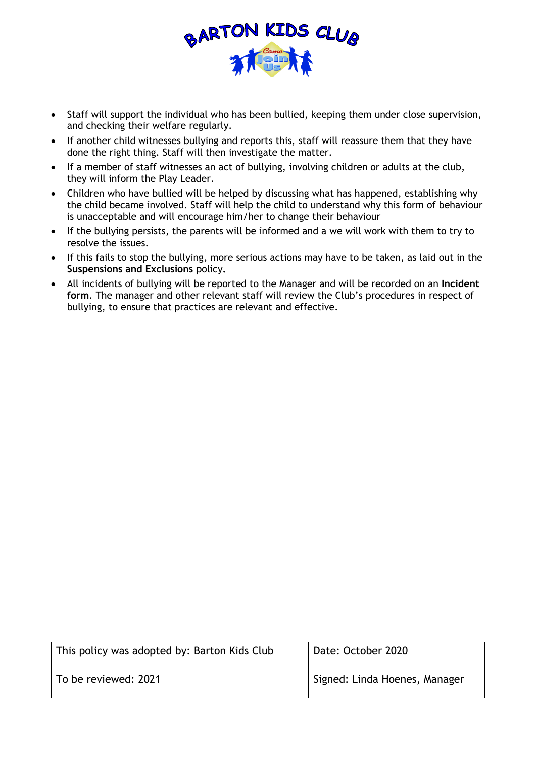

- Staff will support the individual who has been bullied, keeping them under close supervision, and checking their welfare regularly.
- If another child witnesses bullying and reports this, staff will reassure them that they have done the right thing. Staff will then investigate the matter.
- If a member of staff witnesses an act of bullying, involving children or adults at the club, they will inform the Play Leader.
- Children who have bullied will be helped by discussing what has happened, establishing why the child became involved. Staff will help the child to understand why this form of behaviour is unacceptable and will encourage him/her to change their behaviour
- If the bullying persists, the parents will be informed and a we will work with them to try to resolve the issues.
- If this fails to stop the bullying, more serious actions may have to be taken, as laid out in the **Suspensions and Exclusions** policy**.**
- All incidents of bullying will be reported to the Manager and will be recorded on an **Incident form**. The manager and other relevant staff will review the Club's procedures in respect of bullying, to ensure that practices are relevant and effective.

| This policy was adopted by: Barton Kids Club | Date: October 2020            |
|----------------------------------------------|-------------------------------|
| To be reviewed: 2021                         | Signed: Linda Hoenes, Manager |